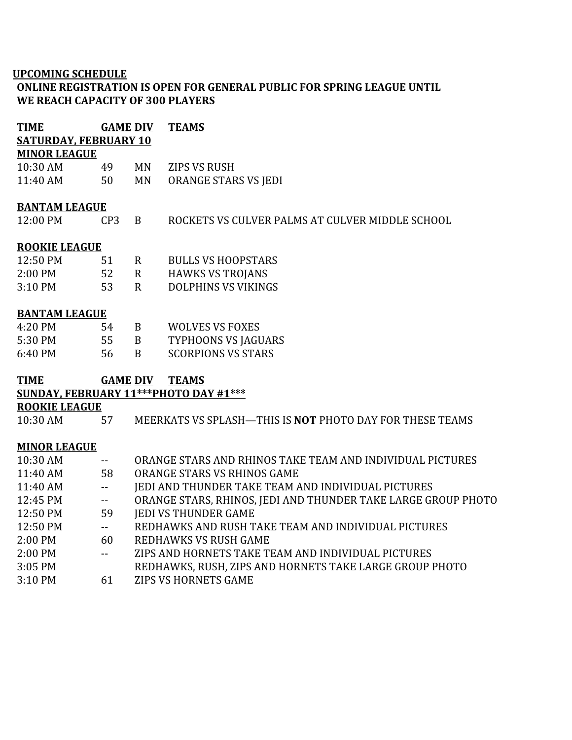## **UPCOMING SCHEDULE**

## **ONLINE REGISTRATION IS OPEN FOR GENERAL PUBLIC FOR SPRING LEAGUE UNTIL WE REACH CAPACITY OF 300 PLAYERS**

| <b>TIME</b>                  | <b>GAME DIV</b>          |                 | <b>TEAMS</b>                                                    |
|------------------------------|--------------------------|-----------------|-----------------------------------------------------------------|
| <b>SATURDAY, FEBRUARY 10</b> |                          |                 |                                                                 |
| <b>MINOR LEAGUE</b>          |                          |                 |                                                                 |
| 10:30 AM                     | 49                       | MN              | <b>ZIPS VS RUSH</b>                                             |
| 11:40 AM                     | 50                       | MN              | ORANGE STARS VS JEDI                                            |
| <b>BANTAM LEAGUE</b>         |                          |                 |                                                                 |
| 12:00 PM                     | CP <sub>3</sub>          | B               | ROCKETS VS CULVER PALMS AT CULVER MIDDLE SCHOOL                 |
| <b>ROOKIE LEAGUE</b>         |                          |                 |                                                                 |
| 12:50 PM                     | 51                       | $\mathsf{R}$    | <b>BULLS VS HOOPSTARS</b>                                       |
| 2:00 PM                      | 52                       | $\mathbf{R}$    | <b>HAWKS VS TROJANS</b>                                         |
| 3:10 PM                      | 53                       | $\mathbf{R}$    | <b>DOLPHINS VS VIKINGS</b>                                      |
| <b>BANTAM LEAGUE</b>         |                          |                 |                                                                 |
| 4:20 PM                      | 54                       | B               | <b>WOLVES VS FOXES</b>                                          |
| 5:30 PM                      | 55                       | B               | <b>TYPHOONS VS JAGUARS</b>                                      |
| 6:40 PM                      | 56                       | $\mathbf{B}$    | <b>SCORPIONS VS STARS</b>                                       |
| <b>TIME</b>                  |                          | <b>GAME DIV</b> | <b>TEAMS</b>                                                    |
|                              |                          |                 | SUNDAY, FEBRUARY 11*** PHOTO DAY #1***                          |
| <b>ROOKIE LEAGUE</b>         |                          |                 |                                                                 |
| 10:30 AM                     | 57                       |                 | MEERKATS VS SPLASH—THIS IS <b>NOT</b> PHOTO DAY FOR THESE TEAMS |
| <b>MINOR LEAGUE</b>          |                          |                 |                                                                 |
| 10:30 AM                     | $\sim$ $-$               |                 | ORANGE STARS AND RHINOS TAKE TEAM AND INDIVIDUAL PICTURES       |
| 11:40 AM                     | 58                       |                 | ORANGE STARS VS RHINOS GAME                                     |
| 11:40 AM                     | $\overline{\phantom{a}}$ |                 | JEDI AND THUNDER TAKE TEAM AND INDIVIDUAL PICTURES              |
| 12:45 PM                     | $\mathbf{m}$             |                 | ORANGE STARS, RHINOS, JEDI AND THUNDER TAKE LARGE GROUP PHOTO   |
| 12:50 PM                     | 59                       |                 | <b>IEDI VS THUNDER GAME</b>                                     |
| 12:50 PM                     | $\mathbf{u}$             |                 | REDHAWKS AND RUSH TAKE TEAM AND INDIVIDUAL PICTURES             |
| 2:00 PM                      | 60                       |                 | REDHAWKS VS RUSH GAME                                           |
| 2:00 PM                      | $\overline{a}$           |                 | ZIPS AND HORNETS TAKE TEAM AND INDIVIDUAL PICTURES              |

- 3:05 PM REDHAWKS, RUSH, ZIPS AND HORNETS TAKE LARGE GROUP PHOTO<br>3:10 PM 61 ZIPS VS HORNETS GAME
- 61 ZIPS VS HORNETS GAME